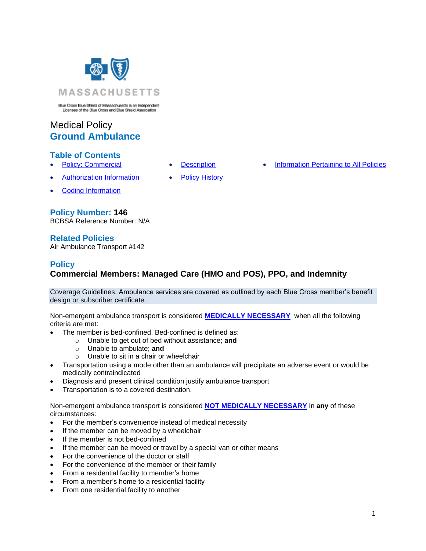

Blue Cross Blue Shield of Massachusetts is an Independent<br>Licenses of the Blue Cross and Blue Shield Association

# Medical Policy **Ground Ambulance**

### **Table of Contents**

- 
- 
- **[Policy: Commercial](#page-0-0) [Description](#page-2-0) [Information Pertaining to All Policies](#page-2-1)**
- [Authorization Information](#page-1-0) [Policy History](#page-2-2)
- [Coding Information](#page-1-1)

### **Policy Number: 146**

BCBSA Reference Number: N/A

### **Related Policies**

Air Ambulance Transport #142

### **Policy**

# <span id="page-0-0"></span>**Commercial Members: Managed Care (HMO and POS), PPO, and Indemnity**

Coverage Guidelines: Ambulance services are covered as outlined by each Blue Cross member's benefit design or subscriber certificate.

Non-emergent ambulance transport is considered **[MEDICALLY NECESSARY](https://www.bluecrossma.com/common/en_US/medical_policies/Definition%20of%20Med%20Nec%20Inv%20Not%20Med%20Nec%20prn.pdf#page=1)** when all the following criteria are met:

- The member is bed-confined. Bed-confined is defined as:
	- o Unable to get out of bed without assistance; **and**
		- o Unable to ambulate; **and**
		- o Unable to sit in a chair or wheelchair
- Transportation using a mode other than an ambulance will precipitate an adverse event or would be medically contraindicated
- Diagnosis and present clinical condition justify ambulance transport
- Transportation is to a covered destination.

Non-emergent ambulance transport is considered **[NOT MEDICALLY NECESSARY](https://www.bluecrossma.com/common/en_US/medical_policies/Definition%20of%20Med%20Nec%20Inv%20Not%20Med%20Nec%20prn.pdf#page=1)** in **any** of these circumstances:

- For the member's convenience instead of medical necessity
- If the member can be moved by a wheelchair
- If the member is not bed-confined
- If the member can be moved or travel by a special van or other means
- For the convenience of the doctor or staff
- For the convenience of the member or their family
- From a residential facility to member's home
- From a member's home to a residential facility
- From one residential facility to another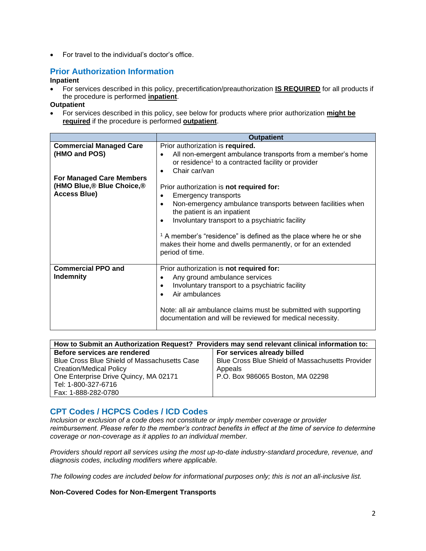• For travel to the individual's doctor's office.

## <span id="page-1-0"></span>**Prior Authorization Information**

#### **Inpatient**

• For services described in this policy, precertification/preauthorization **IS REQUIRED** for all products if the procedure is performed **inpatient**.

#### **Outpatient**

• For services described in this policy, see below for products where prior authorization **might be required** if the procedure is performed **outpatient**.

|                                                                                    | <b>Outpatient</b>                                                                                                                                                                                                                                                                                                                                                                                           |
|------------------------------------------------------------------------------------|-------------------------------------------------------------------------------------------------------------------------------------------------------------------------------------------------------------------------------------------------------------------------------------------------------------------------------------------------------------------------------------------------------------|
| <b>Commercial Managed Care</b><br>(HMO and POS)<br><b>For Managed Care Members</b> | Prior authorization is required.<br>All non-emergent ambulance transports from a member's home<br>$\bullet$<br>or residence <sup>1</sup> to a contracted facility or provider<br>Chair car/van<br>$\bullet$                                                                                                                                                                                                 |
| (HMO Blue, <sup>®</sup> Blue Choice, <sup>®</sup><br><b>Access Blue)</b>           | Prior authorization is not required for:<br>Emergency transports<br>$\bullet$<br>Non-emergency ambulance transports between facilities when<br>$\bullet$<br>the patient is an inpatient<br>Involuntary transport to a psychiatric facility<br><sup>1</sup> A member's "residence" is defined as the place where he or she<br>makes their home and dwells permanently, or for an extended<br>period of time. |
| <b>Commercial PPO and</b><br>Indemnity                                             | Prior authorization is not required for:<br>Any ground ambulance services<br>$\bullet$<br>Involuntary transport to a psychiatric facility<br>$\bullet$<br>Air ambulances<br>Note: all air ambulance claims must be submitted with supporting<br>documentation and will be reviewed for medical necessity.                                                                                                   |

| How to Submit an Authorization Request? Providers may send relevant clinical information to: |                                                         |  |  |
|----------------------------------------------------------------------------------------------|---------------------------------------------------------|--|--|
| Before services are rendered                                                                 | For services already billed                             |  |  |
| Blue Cross Blue Shield of Massachusetts Case                                                 | <b>Blue Cross Blue Shield of Massachusetts Provider</b> |  |  |
| <b>Creation/Medical Policy</b>                                                               | Appeals                                                 |  |  |
| One Enterprise Drive Quincy, MA 02171                                                        | P.O. Box 986065 Boston, MA 02298                        |  |  |
| Tel: 1-800-327-6716                                                                          |                                                         |  |  |
| Fax: 1-888-282-0780                                                                          |                                                         |  |  |

### <span id="page-1-1"></span>**CPT Codes / HCPCS Codes / ICD Codes**

*Inclusion or exclusion of a code does not constitute or imply member coverage or provider reimbursement. Please refer to the member's contract benefits in effect at the time of service to determine coverage or non-coverage as it applies to an individual member.*

*Providers should report all services using the most up-to-date industry-standard procedure, revenue, and diagnosis codes, including modifiers where applicable.*

*The following codes are included below for informational purposes only; this is not an all-inclusive list.*

#### **Non-Covered Codes for Non-Emergent Transports**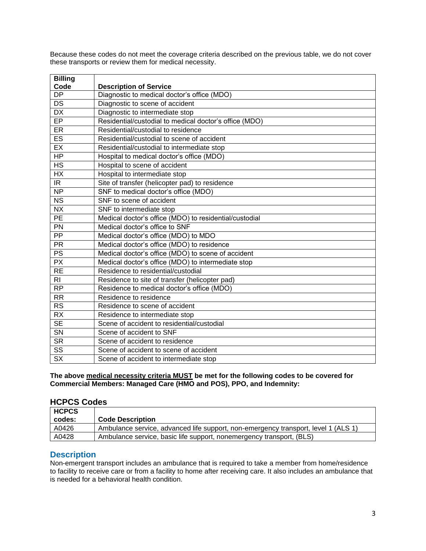Because these codes do not meet the coverage criteria described on the previous table, we do not cover these transports or review them for medical necessity.

| <b>Billing</b>                    |                                                        |
|-----------------------------------|--------------------------------------------------------|
| Code                              | <b>Description of Service</b>                          |
| <b>DP</b>                         | Diagnostic to medical doctor's office (MDO)            |
| $\overline{DS}$                   | Diagnostic to scene of accident                        |
| $\overline{DX}$                   | Diagnostic to intermediate stop                        |
| EP                                | Residential/custodial to medical doctor's office (MDO) |
| ER                                | Residential/custodial to residence                     |
| ES                                | Residential/custodial to scene of accident             |
| EX                                | Residential/custodial to intermediate stop             |
| <b>HP</b>                         | Hospital to medical doctor's office (MDO)              |
| <b>HS</b>                         | Hospital to scene of accident                          |
| <b>HX</b>                         | Hospital to intermediate stop                          |
| $\overline{\mathbb{R}}$           | Site of transfer (helicopter pad) to residence         |
| $\overline{NP}$                   | SNF to medical doctor's office (MDO)                   |
| <b>NS</b>                         | SNF to scene of accident                               |
| <b>NX</b>                         | SNF to intermediate stop                               |
| <b>PE</b>                         | Medical doctor's office (MDO) to residential/custodial |
| PN                                | Medical doctor's office to SNF                         |
| PP                                | Medical doctor's office (MDO) to MDO                   |
| <b>PR</b>                         | Medical doctor's office (MDO) to residence             |
| <b>PS</b>                         | Medical doctor's office (MDO) to scene of accident     |
| PX                                | Medical doctor's office (MDO) to intermediate stop     |
| <b>RE</b>                         | Residence to residential/custodial                     |
| <b>RI</b>                         | Residence to site of transfer (helicopter pad)         |
| <b>RP</b>                         | Residence to medical doctor's office (MDO)             |
| <b>RR</b>                         | Residence to residence                                 |
| <b>RS</b>                         | Residence to scene of accident                         |
| <b>RX</b>                         | Residence to intermediate stop                         |
| $\overline{\text{SE}}$            | Scene of accident to residential/custodial             |
| SN                                | Scene of accident to SNF                               |
| <b>SR</b>                         | Scene of accident to residence                         |
| $\overline{\text{SS}}$            | Scene of accident to scene of accident                 |
| $\overline{\mathsf{S}\mathsf{X}}$ | Scene of accident to intermediate stop                 |

**The above medical necessity criteria MUST be met for the following codes to be covered for Commercial Members: Managed Care (HMO and POS), PPO, and Indemnity:**

### **HCPCS Codes**

| <b>HCPCS</b> |                                                                                    |
|--------------|------------------------------------------------------------------------------------|
| codes:       | <b>Code Description</b>                                                            |
| A0426        | Ambulance service, advanced life support, non-emergency transport, level 1 (ALS 1) |
| A0428        | Ambulance service, basic life support, nonemergency transport, (BLS)               |

### <span id="page-2-0"></span>**Description**

<span id="page-2-2"></span><span id="page-2-1"></span>Non-emergent transport includes an ambulance that is required to take a member from home/residence to facility to receive care or from a facility to home after receiving care. It also includes an ambulance that is needed for a behavioral health condition.